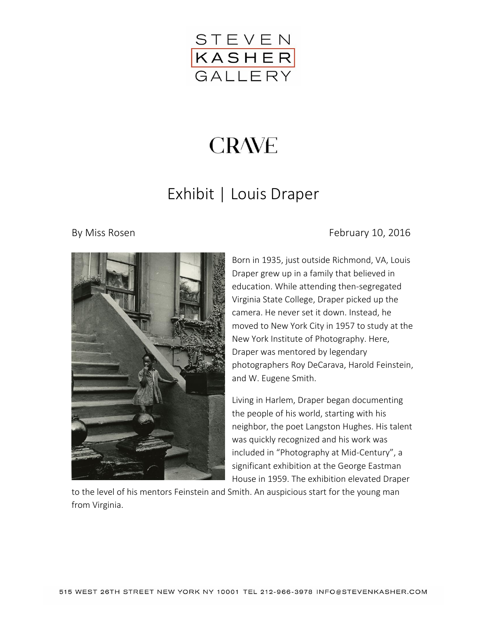

## **CRAVE**

## Exhibit | Louis Draper



## By Miss Rosen **February 10, 2016**

Born in 1935, just outside Richmond, VA, [Louis](https://thelouisdraperproject.wordpress.com/)  [Draper](https://thelouisdraperproject.wordpress.com/) grew up in a family that believed in education. While attending then-segregated Virginia State College, Draper picked up the camera. He never set it down. Instead, he moved to New York City in 1957 to study at the New York Institute of Photography. Here, Draper was mentored by legendary photographers Roy DeCarava, Harold Feinstein, and W. Eugene Smith.

Living in Harlem, [Draper](https://thelouisdraperproject.wordpress.com/) began documenting the people of his world, starting with his neighbor, the poet Langston Hughes. His talent was quickly recognized and his work was included in "Photography at Mid-Century", a significant exhibition at the George Eastman House in 1959. The exhibition elevated Draper

to the level of his mentors Feinstein and Smith. An auspicious start for the young man from Virginia.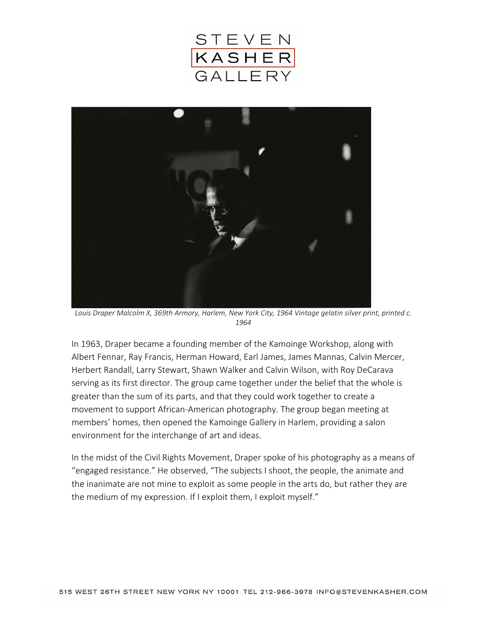



*Louis Draper Malcolm X, 369th Armory, Harlem, New York City, 1964 Vintage gelatin silver print, printed c. 1964*

In 1963, Draper became a founding member of the Kamoinge Workshop, along with Albert Fennar, Ray Francis, Herman Howard, Earl James, James Mannas, Calvin Mercer, Herbert Randall, Larry Stewart, Shawn Walker and Calvin Wilson, with Roy DeCarava serving as its first director. The group came together under the belief that the whole is greater than the sum of its parts, and that they could work together to create a movement to support African-American photography. The group began meeting at members' homes, then opened the Kamoinge Gallery in Harlem, providing a salon environment for the interchange of art and ideas.

In the midst of the Civil Rights Movement, Draper spoke of his photography as a means of "engaged resistance." He observed, "The subjects I shoot, the people, the animate and the inanimate are not mine to exploit as some people in the arts do, but rather they are the medium of my expression. If I exploit them, I exploit myself."